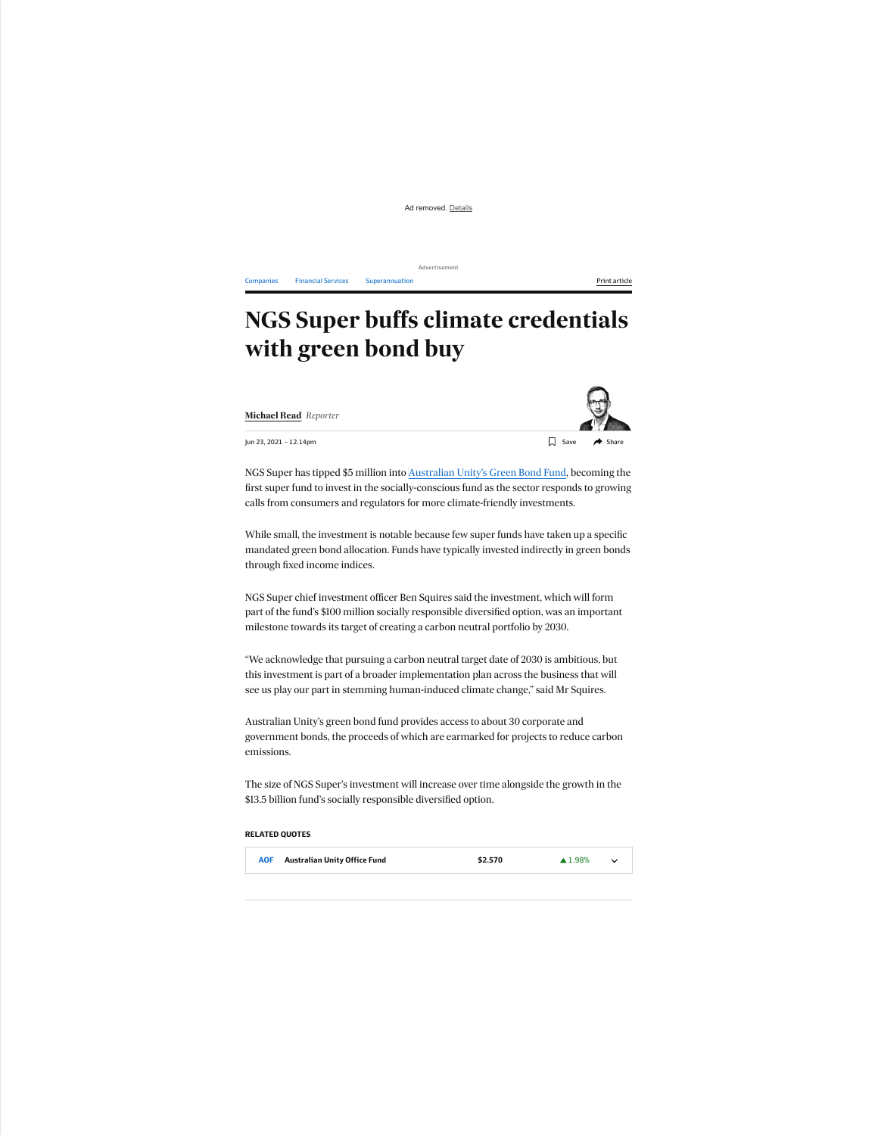Ad removed. Details

Advertisement

[Companies](https://www.afr.com/companies) [Financial](https://www.afr.com/companies/financial-services) Services [Superannuation](https://www.afr.com/topic/superannuation-62e) **Print article** Print article

## **NGS Super buffs climate credentials with green bond buy**

**[Michael Read](https://www.afr.com/by/michael-read-p4yw7h)** *Reporter*

 $\Box$  Save

Jun 23, 2021 – 12.14pm

NGS Super has tipped \$5 million into [Australian Unity's Green Bond Fund](https://www.afr.com/companies/financial-services/australia-s-first-green-bond-fund-earns-cefc-backing-20200706-p559fk), becoming the first super fund to invest in the socially-conscious fund as the sector responds to growing calls from consumers and regulators for more climate-friendly investments.

While small, the investment is notable because few super funds have taken up a specific mandated green bond allocation. Funds have typically invested indirectly in green bonds through fixed income indices.

NGS Super chief investment officer Ben Squires said the investment, which will form part of the fund's \$100 million socially responsible diversified option, was an important milestone towards its target of creating a carbon neutral portfolio by 2030.

"We acknowledge that pursuing a carbon neutral target date of 2030 is ambitious, but this investment is part of a broader implementation plan across the business that will see us play our part in stemming human-induced climate change," said Mr Squires.

Australian Unity's green bond fund provides access to about 30 corporate and government bonds, the proceeds of which are earmarked for projects to reduce carbon emissions.

The size of NGS Super's investment will increase over time alongside the growth in the \$13.5 billion fund's socially responsible diversified option.

## **RELATED QUOTES**